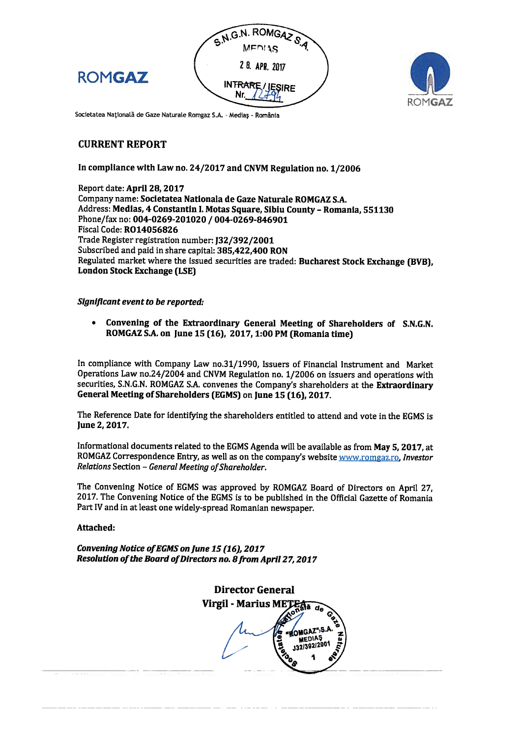



Societatea Națională de Gaze Naturale Romgaz S.A. - Medias - România

# **CURRENT REPORT**

**ROMGAZ** 

### In compliance with Law no. 24/2017 and CNVM Regulation no. 1/2006

Report date: April 28. 2017 Company name: Societatea Nationala de Gaze Naturale ROMGAZ S.A. Address: Medias, 4 Constantin I. Motas Square, Sibiu County - Romania, 551130 Phone/fax no: 004-0269-201020 / 004-0269-846901 **Fiscal Code: RO14056826** Trade Register registration number: [32/392/2001 Subscribed and paid in share capital: 385.422.400 RON Regulated market where the issued securities are traded: Bucharest Stock Exchange (BVB). **London Stock Exchange (LSE)** 

#### Significant event to be reported:

Convening of the Extraordinary General Meeting of Shareholders of S.N.G.N.  $\bullet$ ROMGAZ S.A. on June 15 (16), 2017, 1:00 PM (Romania time)

In compliance with Company Law no.31/1990, Issuers of Financial Instrument and Market Operations Law no.24/2004 and CNVM Regulation no. 1/2006 on issuers and operations with securities, S.N.G.N. ROMGAZ S.A. convenes the Company's shareholders at the Extraordinary General Meeting of Shareholders (EGMS) on June 15 (16), 2017.

The Reference Date for identifying the shareholders entitled to attend and vote in the EGMS is June 2, 2017.

Informational documents related to the EGMS Agenda will be available as from May 5, 2017, at ROMGAZ Correspondence Entry, as well as on the company's website www.romgaz.ro, Investor Relations Section - General Meeting of Shareholder.

The Convening Notice of EGMS was approved by ROMGAZ Board of Directors on April 27. 2017. The Convening Notice of the EGMS is to be published in the Official Gazette of Romania Part IV and in at least one widely-spread Romanian newspaper.

#### Attached:

Convening Notice of EGMS on June 15 (16), 2017 Resolution of the Board of Directors no. 8 from April 27, 2017

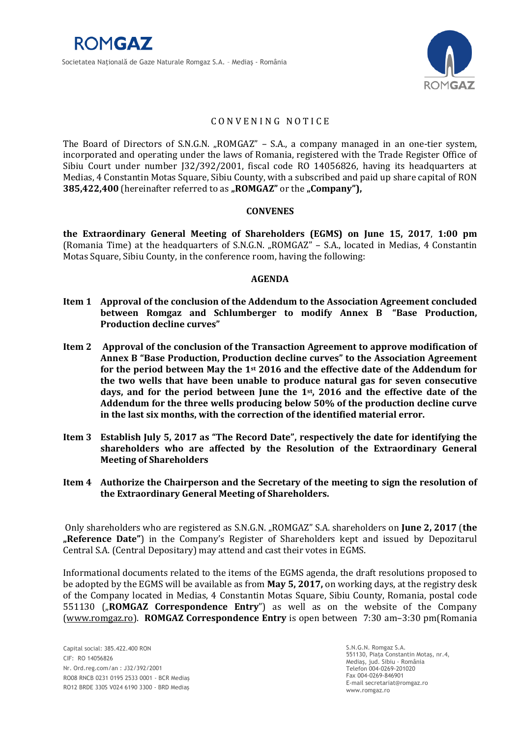

# C O N V E N I N G N O T I C E

The Board of Directors of S.N.G.N. "ROMGAZ" – S.A., a company managed in an one-tier system, incorporated and operating under the laws of Romania, registered with the Trade Register Office of Sibiu Court under number J32/392/2001, fiscal code RO 14056826, having its headquarters at Medias, 4 Constantin Motas Square, Sibiu County, with a subscribed and paid up share capital of RON **385,422,400** (hereinafter referred to as **"ROMGAZ**" or the **"Company**"),

### **CONVENES**

**the Extraordinary General Meeting of Shareholders (EGMS) on June 15, 2017**, **1:00 pm** (Romania Time) at the headquarters of S.N.G.N. "ROMGAZ" - S.A., located in Medias, 4 Constantin Motas Square, Sibiu County, in the conference room, having the following:

### **AGENDA**

- **Item 1 Approval of the conclusion of the Addendum to the Association Agreement concluded between Romgaz and Schlumberger to modify Annex B "Base Production, Production decline curves"**
- **Item 2 Approval of the conclusion of the Transaction Agreement to approve modification of Annex B "Base Production, Production decline curves" to the Association Agreement for the period between May the 1st 2016 and the effective date of the Addendum for the two wells that have been unable to produce natural gas for seven consecutive days, and for the period between June the 1st, 2016 and the effective date of the Addendum for the three wells producing below 50% of the production decline curve in the last six months, with the correction of the identified material error.**
- **Item 3 Establish July 5, 2017 as "The Record Date", respectively the date for identifying the shareholders who are affected by the Resolution of the Extraordinary General Meeting of Shareholders**
- **Item 4 Authorize the Chairperson and the Secretary of the meeting to sign the resolution of the Extraordinary General Meeting of Shareholders.**

Only shareholders who are registered as S.N.G.N. "ROMGAZ" S.A. shareholders on **June 2, 2017** (**the "Reference Date"**) in the Company's Register of Shareholders kept and issued by Depozitarul Central S.A. (Central Depositary) may attend and cast their votes in EGMS.

Informational documents related to the items of the EGMS agenda, the draft resolutions proposed to be adopted by the EGMS will be available as from **May 5, 2017,** on working days, at the registry desk of the Company located in Medias, 4 Constantin Motas Square, Sibiu County, Romania, postal code 551130 ("**ROMGAZ Correspondence Entry**") as well as on the website of the Company [\(www.romgaz.ro\)](http://www.romgaz.ro/). **ROMGAZ Correspondence Entry** is open between 7:30 am–3:30 pm(Romania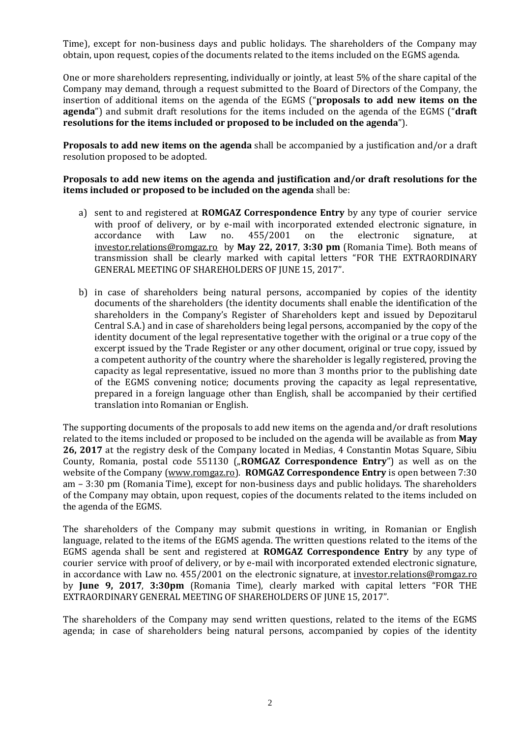Time), except for non-business days and public holidays. The shareholders of the Company may obtain, upon request, copies of the documents related to the items included on the EGMS agenda.

One or more shareholders representing, individually or jointly, at least 5% of the share capital of the Company may demand, through a request submitted to the Board of Directors of the Company, the insertion of additional items on the agenda of the EGMS ("**proposals to add new items on the agenda**") and submit draft resolutions for the items included on the agenda of the EGMS ("**draft resolutions for the items included or proposed to be included on the agenda**").

**Proposals to add new items on the agenda** shall be accompanied by a justification and/or a draft resolution proposed to be adopted.

### **Proposals to add new items on the agenda and justification and/or draft resolutions for the items included or proposed to be included on the agenda** shall be:

- a) sent to and registered at **ROMGAZ Correspondence Entry** by any type of courier service with proof of delivery, or by e-mail with incorporated extended electronic signature, in accordance with Law no. 455/2001 on the electronic signature, at [investor.relations@romgaz.ro](mailto:investor.relations@romgaz.ro) by **May 22, 2017**, **3:30 pm** (Romania Time). Both means of transmission shall be clearly marked with capital letters "FOR THE EXTRAORDINARY GENERAL MEETING OF SHAREHOLDERS OF JUNE 15, 2017".
- b) in case of shareholders being natural persons, accompanied by copies of the identity documents of the shareholders (the identity documents shall enable the identification of the shareholders in the Company's Register of Shareholders kept and issued by Depozitarul Central S.A.) and in case of shareholders being legal persons, accompanied by the copy of the identity document of the legal representative together with the original or a true copy of the excerpt issued by the Trade Register or any other document, original or true copy, issued by a competent authority of the country where the shareholder is legally registered, proving the capacity as legal representative, issued no more than 3 months prior to the publishing date of the EGMS convening notice; documents proving the capacity as legal representative, prepared in a foreign language other than English, shall be accompanied by their certified translation into Romanian or English.

The supporting documents of the proposals to add new items on the agenda and/or draft resolutions related to the items included or proposed to be included on the agenda will be available as from **May 26, 2017** at the registry desk of the Company located in Medias, 4 Constantin Motas Square, Sibiu County, Romania, postal code 551130 (**"ROMGAZ Correspondence Entry**") as well as on the website of the Company [\(www.romgaz.ro\)](http://www.romgaz.ro/). **ROMGAZ Correspondence Entry** is open between 7:30 am – 3:30 pm (Romania Time), except for non-business days and public holidays. The shareholders of the Company may obtain, upon request, copies of the documents related to the items included on the agenda of the EGMS.

The shareholders of the Company may submit questions in writing, in Romanian or English language, related to the items of the EGMS agenda. The written questions related to the items of the EGMS agenda shall be sent and registered at **ROMGAZ Correspondence Entry** by any type of courier service with proof of delivery, or by e-mail with incorporated extended electronic signature, in accordance with Law no. 455/2001 on the electronic signature, at [investor.relations@romgaz.ro](mailto:investor.relations@romgaz.ro) by **June 9, 2017**, **3:30pm** (Romania Time), clearly marked with capital letters "FOR THE EXTRAORDINARY GENERAL MEETING OF SHAREHOLDERS OF JUNE 15, 2017".

The shareholders of the Company may send written questions, related to the items of the EGMS agenda; in case of shareholders being natural persons, accompanied by copies of the identity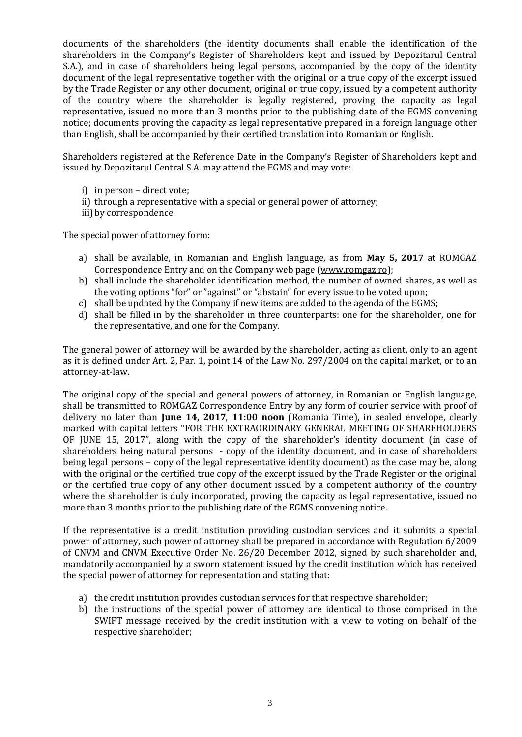documents of the shareholders (the identity documents shall enable the identification of the shareholders in the Company's Register of Shareholders kept and issued by Depozitarul Central S.A.), and in case of shareholders being legal persons, accompanied by the copy of the identity document of the legal representative together with the original or a true copy of the excerpt issued by the Trade Register or any other document, original or true copy, issued by a competent authority of the country where the shareholder is legally registered, proving the capacity as legal representative, issued no more than 3 months prior to the publishing date of the EGMS convening notice; documents proving the capacity as legal representative prepared in a foreign language other than English, shall be accompanied by their certified translation into Romanian or English.

Shareholders registered at the Reference Date in the Company's Register of Shareholders kept and issued by Depozitarul Central S.A. may attend the EGMS and may vote:

- i) in person direct vote;
- ii) through a representative with a special or general power of attorney;
- iii) by correspondence.

The special power of attorney form:

- a) shall be available, in Romanian and English language, as from **May 5, 2017** at ROMGAZ Correspondence Entry and on the Company web page [\(www.romgaz.ro\)](http://www.romgaz.ro/);
- b) shall include the shareholder identification method, the number of owned shares, as well as the voting options "for" or "against" or "abstain" for every issue to be voted upon;
- c) shall be updated by the Company if new items are added to the agenda of the EGMS;
- d) shall be filled in by the shareholder in three counterparts: one for the shareholder, one for the representative, and one for the Company.

The general power of attorney will be awarded by the shareholder, acting as client, only to an agent as it is defined under Art. 2, Par. 1, point 14 of the Law No. 297/2004 on the capital market, or to an attorney-at-law.

The original copy of the special and general powers of attorney, in Romanian or English language, shall be transmitted to ROMGAZ Correspondence Entry by any form of courier service with proof of delivery no later than **June 14, 2017**, **11:00 noon** (Romania Time), in sealed envelope, clearly marked with capital letters "FOR THE EXTRAORDINARY GENERAL MEETING OF SHAREHOLDERS OF JUNE 15, 2017", along with the copy of the shareholder's identity document (in case of shareholders being natural persons - copy of the identity document, and in case of shareholders being legal persons – copy of the legal representative identity document) as the case may be, along with the original or the certified true copy of the excerpt issued by the Trade Register or the original or the certified true copy of any other document issued by a competent authority of the country where the shareholder is duly incorporated, proving the capacity as legal representative, issued no more than 3 months prior to the publishing date of the EGMS convening notice.

If the representative is a credit institution providing custodian services and it submits a special power of attorney, such power of attorney shall be prepared in accordance with Regulation 6/2009 of CNVM and CNVM Executive Order No. 26/20 December 2012, signed by such shareholder and, mandatorily accompanied by a sworn statement issued by the credit institution which has received the special power of attorney for representation and stating that:

- a) the credit institution provides custodian services for that respective shareholder;
- b) the instructions of the special power of attorney are identical to those comprised in the SWIFT message received by the credit institution with a view to voting on behalf of the respective shareholder;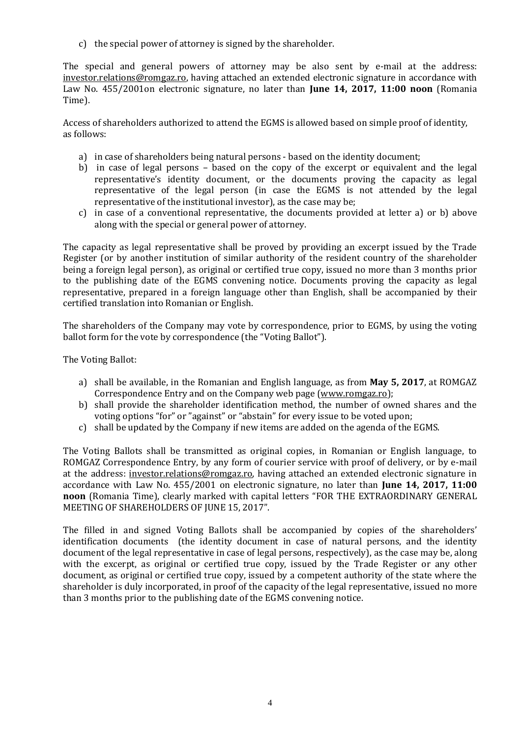c) the special power of attorney is signed by the shareholder.

The special and general powers of attorney may be also sent by e-mail at the address: [investor.relations@romgaz.ro,](mailto:investor.relations@romgaz.ro) having attached an extended electronic signature in accordance with Law No. 455/2001on electronic signature, no later than **June 14, 2017, 11:00 noon** (Romania Time).

Access of shareholders authorized to attend the EGMS is allowed based on simple proof of identity, as follows:

- a) in case of shareholders being natural persons based on the identity document;
- b) in case of legal persons based on the copy of the excerpt or equivalent and the legal representative's identity document, or the documents proving the capacity as legal representative of the legal person (in case the EGMS is not attended by the legal representative of the institutional investor), as the case may be;
- c) in case of a conventional representative, the documents provided at letter a) or b) above along with the special or general power of attorney.

The capacity as legal representative shall be proved by providing an excerpt issued by the Trade Register (or by another institution of similar authority of the resident country of the shareholder being a foreign legal person), as original or certified true copy, issued no more than 3 months prior to the publishing date of the EGMS convening notice. Documents proving the capacity as legal representative, prepared in a foreign language other than English, shall be accompanied by their certified translation into Romanian or English.

The shareholders of the Company may vote by correspondence, prior to EGMS, by using the voting ballot form for the vote by correspondence (the "Voting Ballot").

The Voting Ballot:

- a) shall be available, in the Romanian and English language, as from **May 5, 2017**, at ROMGAZ Correspondence Entry and on the Company web page [\(www.romgaz.ro\)](http://www.romgaz.ro/);
- b) shall provide the shareholder identification method, the number of owned shares and the voting options "for" or "against" or "abstain" for every issue to be voted upon;
- c) shall be updated by the Company if new items are added on the agenda of the EGMS.

The Voting Ballots shall be transmitted as original copies, in Romanian or English language, to ROMGAZ Correspondence Entry, by any form of courier service with proof of delivery, or by e-mail at the address: [investor.relations@romgaz.ro,](mailto:investor.relations@romgaz.ro) having attached an extended electronic signature in accordance with Law No. 455/2001 on electronic signature, no later than **June 14, 2017, 11:00 noon** (Romania Time), clearly marked with capital letters "FOR THE EXTRAORDINARY GENERAL MEETING OF SHAREHOLDERS OF JUNE 15, 2017".

The filled in and signed Voting Ballots shall be accompanied by copies of the shareholders' identification documents (the identity document in case of natural persons, and the identity document of the legal representative in case of legal persons, respectively), as the case may be, along with the excerpt, as original or certified true copy, issued by the Trade Register or any other document, as original or certified true copy, issued by a competent authority of the state where the shareholder is duly incorporated, in proof of the capacity of the legal representative, issued no more than 3 months prior to the publishing date of the EGMS convening notice.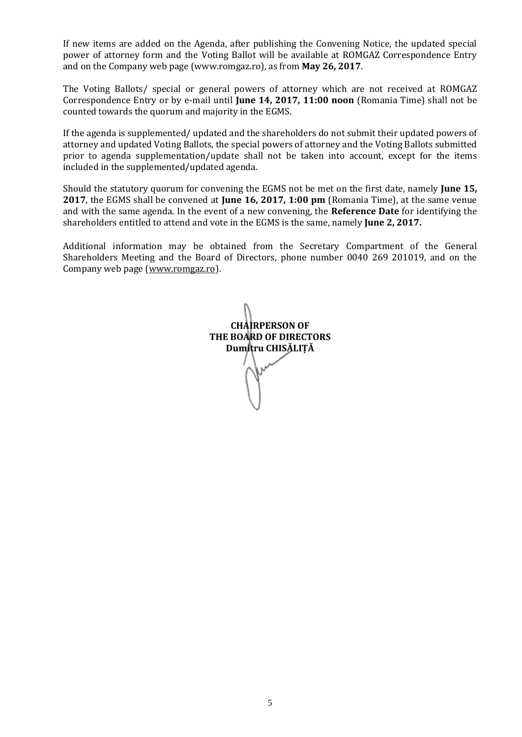If new items are added on the Agenda, after publishing the Convening Notice, the updated special power of attorney form and the Voting Ballot will be available at ROMGAZ Correspondence Entry and on the Company web page (www.romgaz.ro), as from **May 26, 2017**.

The Voting Ballots/ special or general powers of attorney which are not received at ROMGAZ Correspondence Entry or by e-mail until **June 14, 2017, 11:00 noon** (Romania Time) shall not be counted towards the quorum and majority in the EGMS.

If the agenda is supplemented/ updated and the shareholders do not submit their updated powers of attorney and updated Voting Ballots, the special powers of attorney and the Voting Ballots submitted prior to agenda supplementation/update shall not be taken into account, except for the items included in the supplemented/updated agenda.

Should the statutory quorum for convening the EGMS not be met on the first date, namely **June 15, 2017**, the EGMS shall be convened at **June 16, 2017, 1:00 pm** (Romania Time), at the same venue and with the same agenda. In the event of a new convening, the **Reference Date** for identifying the shareholders entitled to attend and vote in the EGMS is the same, namely **June 2, 2017.**

Additional information may be obtained from the Secretary Compartment of the General Shareholders Meeting and the Board of Directors, phone number 0040 269 201019, and on the Company web page [\(www.romgaz.ro\)](http://www.romgaz.ro/).

**CHAIRPERSON OF THE BOARD OF DIRECTORS Dumitru CHISĂLIȚĂ**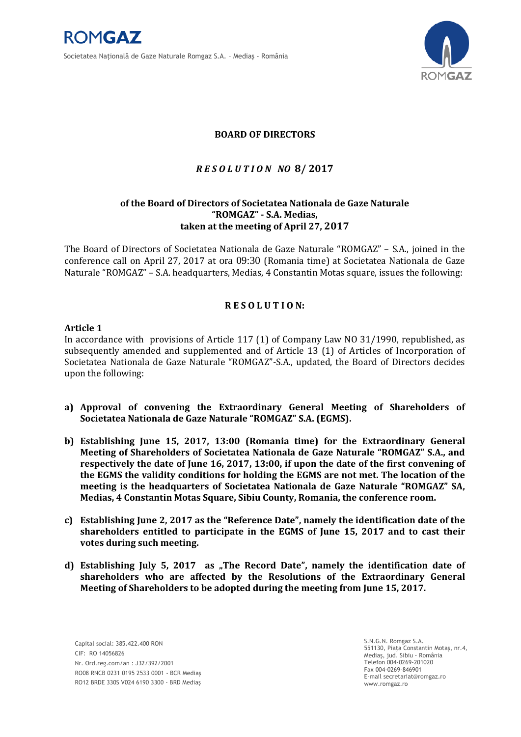



# **BOARD OF DIRECTORS**

# *R E S O L U T I O N NO* **8/ 2017**

# **of the Board of Directors of Societatea Nationala de Gaze Naturale "ROMGAZ" - S.A. Medias, taken at the meeting of April 27, 2017**

The Board of Directors of Societatea Nationala de Gaze Naturale "ROMGAZ" – S.A., joined in the conference call on April 27, 2017 at ora 09:30 (Romania time) at Societatea Nationala de Gaze Naturale "ROMGAZ" – S.A. headquarters, Medias, 4 Constantin Motas square, issues the following:

### **R E S O L U T I O N:**

### **Article 1**

In accordance with provisions of Article 117 (1) of Company Law NO 31/1990, republished, as subsequently amended and supplemented and of Article 13 (1) of Articles of Incorporation of Societatea Nationala de Gaze Naturale "ROMGAZ"-S.A., updated, the Board of Directors decides upon the following:

- **a) Approval of convening the Extraordinary General Meeting of Shareholders of Societatea Nationala de Gaze Naturale "ROMGAZ" S.A. (EGMS).**
- **b) Establishing June 15, 2017, 13:00 (Romania time) for the Extraordinary General Meeting of Shareholders of Societatea Nationala de Gaze Naturale "ROMGAZ" S.A., and respectively the date of June 16, 2017, 13:00, if upon the date of the first convening of the EGMS the validity conditions for holding the EGMS are not met. The location of the meeting is the headquarters of Societatea Nationala de Gaze Naturale "ROMGAZ" SA, Medias, 4 Constantin Motas Square, Sibiu County, Romania, the conference room.**
- **c) Establishing June 2, 2017 as the "Reference Date", namely the identification date of the shareholders entitled to participate in the EGMS of June 15, 2017 and to cast their votes during such meeting.**
- d) Establishing July 5, 2017 as "The Record Date", namely the identification date of **shareholders who are affected by the Resolutions of the Extraordinary General Meeting of Shareholders to be adopted during the meeting from June 15, 2017.**

Capital social: 385.422.400 RON CIF: RO 14056826 Nr. Ord.reg.com/an : J32/392/2001 RO08 RNCB 0231 0195 2533 0001 - BCR Mediaş RO12 BRDE 330S V024 6190 3300 - BRD Mediaş S.N.G.N. Romgaz S.A. 551130, Piaţa Constantin Motaş, nr.4, Mediaş, jud. Sibiu - România Telefon 004-0269-201020 Fax 004-0269-846901 E-mail secretariat@romgaz.ro www.romgaz.ro